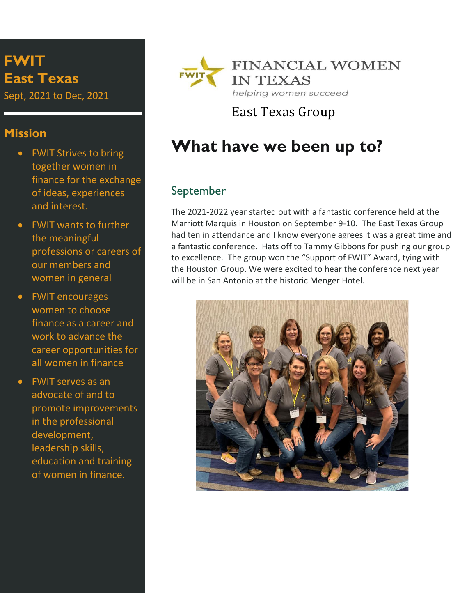**FWIT East Texas**

Sept, 2021 to Dec, 2021

#### **Mission**

- FWIT Strives to bring together women in finance for the exchange of ideas, experiences and interest.
- FWIT wants to further the meaningful professions or careers of our members and women in general
- FWIT encourages women to choose finance as a career and work to advance the career opportunities for all women in finance
- FWIT serves as an advocate of and to promote improvements in the professional development, leadership skills, education and training of women in finance.



East Texas Group

# **What have we been up to?**

# September

The 2021-2022 year started out with a fantastic conference held at the Marriott Marquis in Houston on September 9-10. The East Texas Group had ten in attendance and I know everyone agrees it was a great time and a fantastic conference. Hats off to Tammy Gibbons for pushing our group to excellence. The group won the "Support of FWIT" Award, tying with the Houston Group. We were excited to hear the conference next year will be in San Antonio at the historic Menger Hotel.

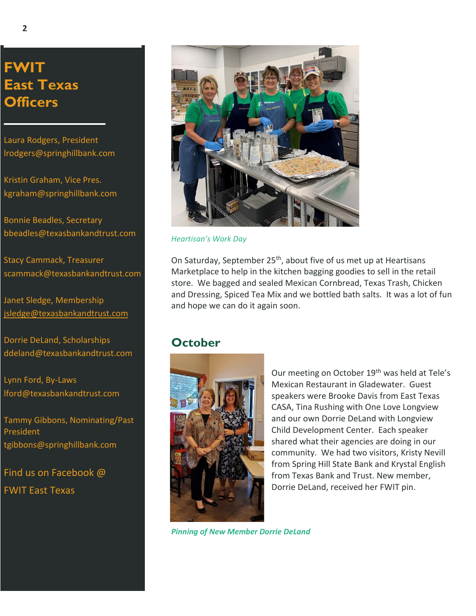**FWIT East Texas Officers**

Laura Rodgers, President [lrodgers@springhillbank.com](mailto:lrodgers@springhillbank.com)

Kristin Graham, Vice Pres. [kgraham@springhillbank.com](mailto:kgraham@springhillbank.com)

Bonnie Beadles, Secretary bbeadles@texasbankandtrust.com

Stacy Cammack, Treasurer scammack@texasbankandtrust.com

Janet Sledge, Membership [jsledge@texasbankandtrust.com](mailto:jsledge@texasbankandtrust.com)

Dorrie DeLand, Scholarships ddeland@texasbankandtrust.com

Lynn Ford, By-Laws lford@texasbankandtrust.com

Tammy Gibbons, Nominating/Past President tgibbons@springhillbank.com

Find us on Facebook @

FWIT East Texas



*Heartisan's Work Day*

On Saturday, September 25<sup>th</sup>, about five of us met up at Heartisans Marketplace to help in the kitchen bagging goodies to sell in the retail store. We bagged and sealed Mexican Cornbread, Texas Trash, Chicken and Dressing, Spiced Tea Mix and we bottled bath salts. It was a lot of fun and hope we can do it again soon.

# **October**



Our meeting on October 19<sup>th</sup> was held at Tele's Mexican Restaurant in Gladewater. Guest speakers were Brooke Davis from East Texas CASA, Tina Rushing with One Love Longview and our own Dorrie DeLand with Longview Child Development Center. Each speaker shared what their agencies are doing in our community. We had two visitors, Kristy Nevill from Spring Hill State Bank and Krystal English from Texas Bank and Trust. New member, Dorrie DeLand, received her FWIT pin.

*Pinning of New Member Dorrie DeLand*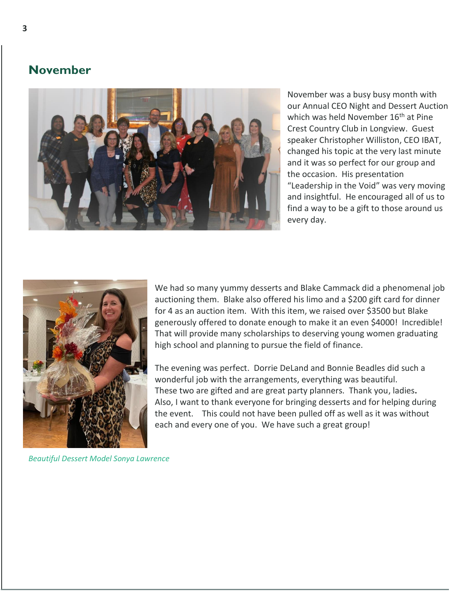#### **November**



November was a busy busy month with our Annual CEO Night and Dessert Auction which was held November 16<sup>th</sup> at Pine Crest Country Club in Longview. Guest speaker Christopher Williston, CEO IBAT, changed his topic at the very last minute and it was so perfect for our group and the occasion. His presentation "Leadership in the Void" was very moving and insightful. He encouraged all of us to find a way to be a gift to those around us every day.



We had so many yummy desserts and Blake Cammack did a phenomenal job auctioning them. Blake also offered his limo and a \$200 gift card for dinner for 4 as an auction item. With this item, we raised over \$3500 but Blake generously offered to donate enough to make it an even \$4000! Incredible! That will provide many scholarships to deserving young women graduating high school and planning to pursue the field of finance.

The evening was perfect. Dorrie DeLand and Bonnie Beadles did such a wonderful job with the arrangements, everything was beautiful. These two are gifted and are great party planners. Thank you, ladies**.** Also, I want to thank everyone for bringing desserts and for helping during the event. This could not have been pulled off as well as it was without each and every one of you. We have such a great group!

*Beautiful Dessert Model Sonya Lawrence*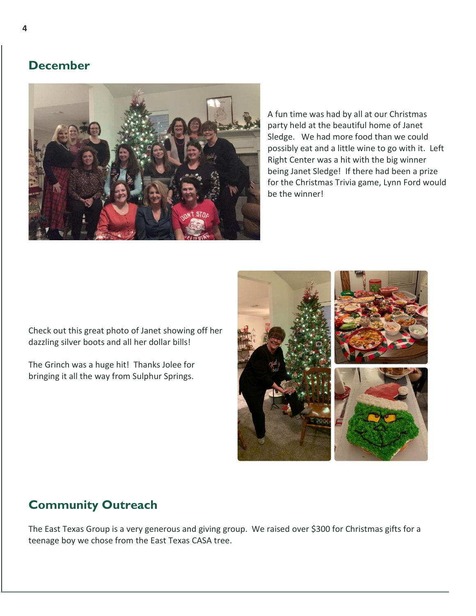# **December**



A fun time was had by all at our Christmas party held at the beautiful home of Janet Sledge. We had more food than we could possibly eat and a little wine to go with it. Left Right Center was a hit with the big winner being Janet Sledge! If there had been a prize for the Christmas Trivia game, Lynn Ford would be the winner!

Check out this great photo of Janet showing off her dazzling silver boots and all her dollar bills!

The Grinch was a huge hit! Thanks Jolee for bringing it all the way from Sulphur Springs.



# **Community Outreach**

The East Texas Group is a very generous and giving group. We raised over \$300 for Christmas gifts for a teenage boy we chose from the East Texas CASA tree.